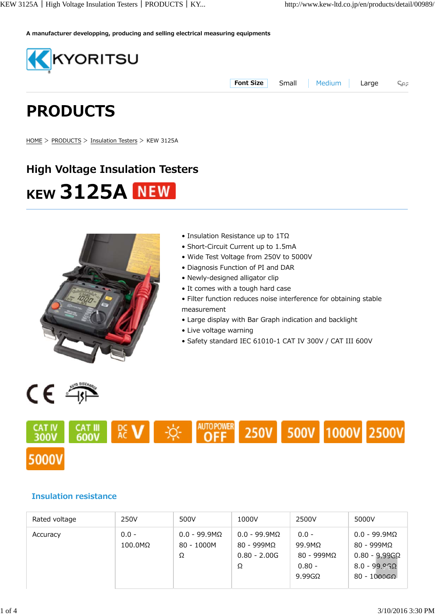**A manufacturer developping, producing and selling electrical measuring equipments**



**Font Size** Small Medium Large

Sea

# **PRODUCTS**

HOME > PRODUCTS > Insulation Testers > KEW 3125A

## **High Voltage Insulation Testers KEW 3125A NEW**



- Insulation Resistance up to 1TΩ
- Short-Circuit Current up to 1.5mA
- Wide Test Voltage from 250V to 5000V
- Diagnosis Function of PI and DAR
- Newly-designed alligator clip
- It comes with a tough hard case
- Filter function reduces noise interference for obtaining stable measurement
- Large display with Bar Graph indication and backlight
- Live voltage warning
- Safety standard IEC 61010-1 CAT IV 300V / CAT III 600V

CE 4



#### **Insulation resistance**

| Rated voltage | 250V                       | 500V                                      | 1000V                                                            | 2500V                                                                          | 5000V                                                                                                              |
|---------------|----------------------------|-------------------------------------------|------------------------------------------------------------------|--------------------------------------------------------------------------------|--------------------------------------------------------------------------------------------------------------------|
| Accuracy      | $0.0 -$<br>$100.0 M\Omega$ | $0.0 - 99.9 M\Omega$<br>$80 - 1000M$<br>Ω | $0.0 - 99.9 M\Omega$<br>$80 - 999M\Omega$<br>$0.80 - 2.00G$<br>Ω | $0.0 -$<br>$99.9M\Omega$<br>$80 - 999M\Omega$<br>$0.80 -$<br>$9.99$ G $\Omega$ | $0.0 - 99.9 M\Omega$<br>$80 - 999M\Omega$<br>$0.80 - 9.99G\Omega$<br>$8.0 - 99.96\Omega$<br>$80 - 1000$ G $\Omega$ |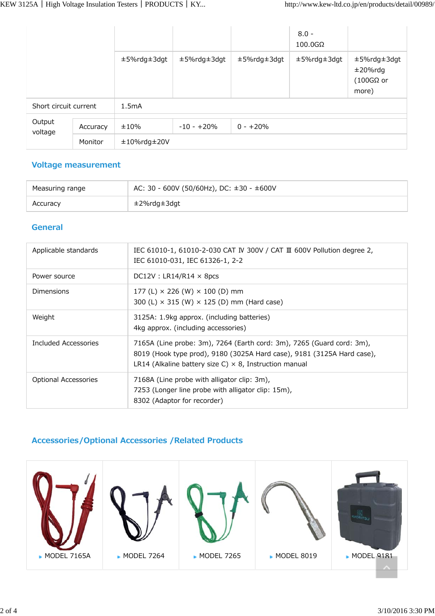|                       |          |                    |              |             | $8.0 -$<br>$100.0G\Omega$ |                                                         |
|-----------------------|----------|--------------------|--------------|-------------|---------------------------|---------------------------------------------------------|
|                       |          | ±5%rdg±3dgt        | ±5%rdg±3dgt  | ±5%rdg±3dgt | ±5%rdg±3dgt               | ±5%rdg±3dgt<br>$±20\%$ rdg<br>$(100G\Omega or$<br>more) |
| Short circuit current |          | 1.5mA              |              |             |                           |                                                         |
| Output<br>voltage     |          |                    |              |             |                           |                                                         |
|                       | Accuracy | ±10%               | $-10 - +20%$ | $0 - +20%$  |                           |                                                         |
|                       | Monitor  | $±10\%$ rdg $±20V$ |              |             |                           |                                                         |

#### **Voltage measurement**

| Measuring range | AC: 30 - 600V (50/60Hz), DC: $\pm 30$ - $\pm 600$ V |
|-----------------|-----------------------------------------------------|
| Accuracy        | ±2%rdg±3dgt                                         |

#### **General**

| Applicable standards | IEC 61010-1, 61010-2-030 CAT IV 300V / CAT III 600V Pollution degree 2,<br>IEC 61010-031, IEC 61326-1, 2-2                                                                                                       |
|----------------------|------------------------------------------------------------------------------------------------------------------------------------------------------------------------------------------------------------------|
| Power source         | $DC12V : LR14/R14 \times 8pcs$                                                                                                                                                                                   |
| <b>Dimensions</b>    | 177 (L) $\times$ 226 (W) $\times$ 100 (D) mm<br>300 (L) $\times$ 315 (W) $\times$ 125 (D) mm (Hard case)                                                                                                         |
| Weight               | 3125A: 1.9kg approx. (including batteries)<br>4kg approx. (including accessories)                                                                                                                                |
| Included Accessories | 7165A (Line probe: 3m), 7264 (Earth cord: 3m), 7265 (Guard cord: 3m),<br>8019 (Hook type prod), 9180 (3025A Hard case), 9181 (3125A Hard case),<br>LR14 (Alkaline battery size C) $\times$ 8, Instruction manual |
| Optional Accessories | 7168A (Line probe with alligator clip: 3m),<br>7253 (Longer line probe with alligator clip: 15m),<br>8302 (Adaptor for recorder)                                                                                 |

#### **Accessories/Optional Accessories /Related Products**

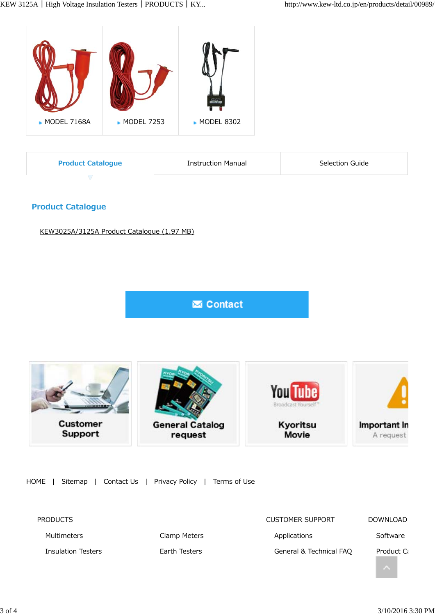

| <b>Product Catalogue</b> | Instruction Manual | Selection Guide |
|--------------------------|--------------------|-----------------|
|                          |                    |                 |

#### **Product Catalogue**

KEW3025A/3125A Product Catalogue (1.97 MB)

**M** Contact



HOME | Sitemap | Contact Us | Privacy Policy | Terms of Use

| <b>PRODUCTS</b>           |               | <b>CUSTOMER SUPPORT</b> | <b>DOWNLOAD</b>        |
|---------------------------|---------------|-------------------------|------------------------|
| Multimeters               | Clamp Meters  | Applications            | Software               |
| <b>Insulation Testers</b> | Earth Testers | General & Technical FAQ | Product C <sub>i</sub> |